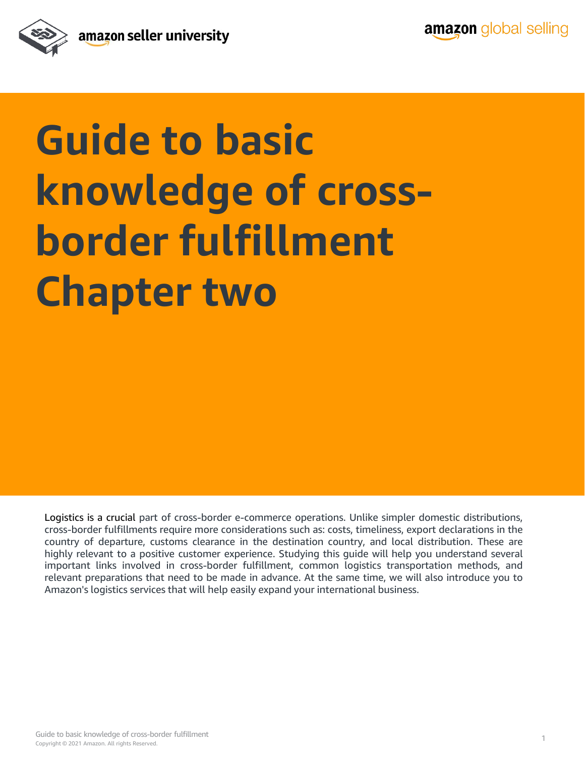

## **Guide to basic knowledge of crossborder fulfillment Chapter two**

Logistics is a crucial part of cross-border e-commerce operations. Unlike simpler domestic distributions, cross-border fulfillments require more considerations such as: costs, timeliness, export declarations in the country of departure, customs clearance in the destination country, and local distribution. These are highly relevant to a positive customer experience. Studying this guide will help you understand several important links involved in cross-border fulfillment, common logistics transportation methods, and relevant preparations that need to be made in advance. At the same time, we will also introduce you to Amazon's logistics services that will help easily expand your international business.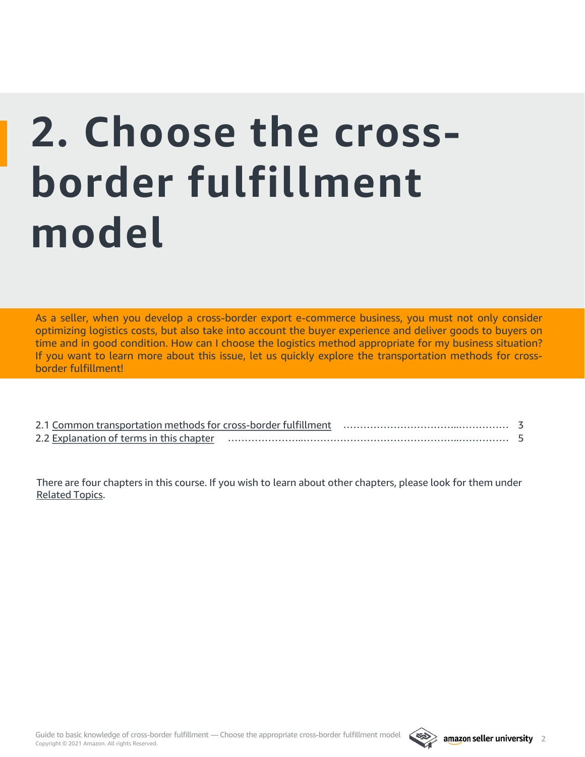# **2. Choose the crossborder fulfillment model**

As a seller, when you develop a cross-border export e-commerce business, you must not only consider optimizing logistics costs, but also take into account the buyer experience and deliver goods to buyers on time and in good condition. How can I choose the logistics method appropriate for my business situation? If you want to learn more about this issue, let us quickly explore the transportation methods for crossborder fulfillment!

| 2.1 Common transportation methods for cross-border fulfillment |  |  |
|----------------------------------------------------------------|--|--|
| 2.2 Explanation of terms in this chapter                       |  |  |

There are four chapters in this course. If you wish to learn about other chapters, please look for them under [Related Topics.](#page-5-0)

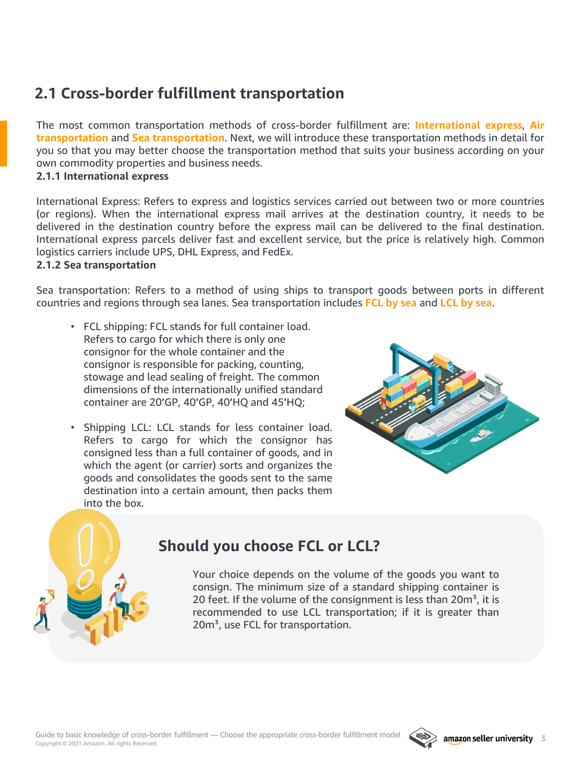## <span id="page-2-0"></span>**2.1 Cross-border fulfillment transportation**

The most common transportation methods of cross-border fulfillment are: **International express**, **Air transportation** and **Sea transportation**. Next, we will introduce these transportation methods in detail for you so that you may better choose the transportation method that suits your business according on your own commodity properties and business needs.

#### **2.1.1 International express**

International Express: Refers to express and logistics services carried out between two or more countries (or regions). When the international express mail arrives at the destination country, it needs to be delivered in the destination country before the express mail can be delivered to the final destination. International express parcels deliver fast and excellent service, but the price is relatively high. Common logistics carriers include UPS, DHL Express, and FedEx.

#### **2.1.2 Sea transportation**

Sea transportation: Refers to a method of using ships to transport goods between ports in different countries and regions through sea lanes. Sea transportation includes **FCL by sea** and **LCL by sea**.

- FCL shipping: FCL stands for full container load. Refers to cargo for which there is only one consignor for the whole container and the consignor is responsible for packing, counting, stowage and lead sealing of freight. The common dimensions of the internationally unified standard container are 20'GP, 40'GP, 40'HQ and 45'HQ;
- Shipping LCL: LCL stands for less container load. Refers to cargo for which the consignor has consigned less than a full container of goods, and in which the agent (or carrier) sorts and organizes the goods and consolidates the goods sent to the same destination into a certain amount, then packs them into the box.



### **Should you choose FCL or LCL?**

Your choice depends on the volume of the goods you want to consign. The minimum size of a standard shipping container is 20 feet. If the volume of the consignment is less than  $20m^3$ , it is recommended to use LCL transportation; if it is greater than 20m<sup>3</sup>, use FCL for transportation.

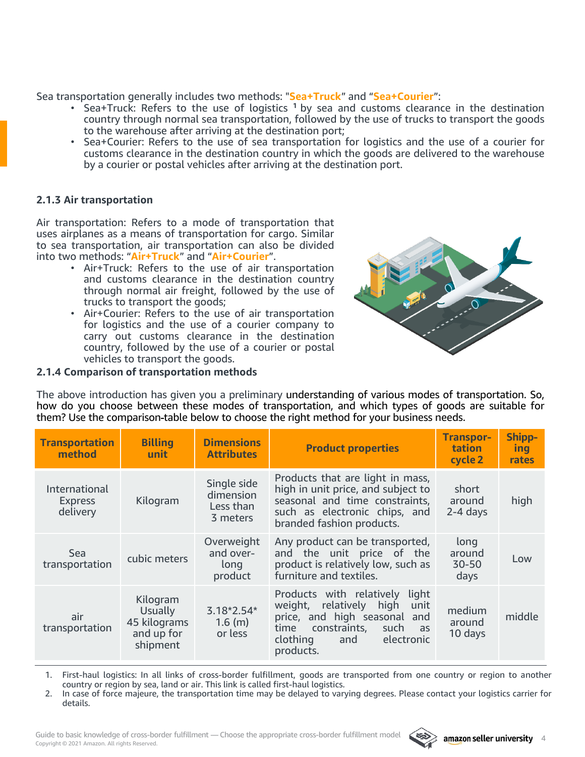Sea transportation generally includes two methods: "**Sea+Truck**" and "**Sea+Courier**":

- Sea+Truck: Refers to the use of logistics **<sup>1</sup>** by sea and customs clearance in the destination country through normal sea transportation, followed by the use of trucks to transport the goods to the warehouse after arriving at the destination port;
- Sea+Courier: Refers to the use of sea transportation for logistics and the use of a courier for customs clearance in the destination country in which the goods are delivered to the warehouse by a courier or postal vehicles after arriving at the destination port.

#### **2.1.3 Air transportation**

Air transportation: Refers to a mode of transportation that uses airplanes as a means of transportation for cargo. Similar to sea transportation, air transportation can also be divided into two methods: "**Air+Truck**" and "**Air+Courier**".

- Air+Truck: Refers to the use of air transportation and customs clearance in the destination country through normal air freight, followed by the use of trucks to transport the goods;
- Air+Courier: Refers to the use of air transportation for logistics and the use of a courier company to carry out customs clearance in the destination country, followed by the use of a courier or postal vehicles to transport the goods.



#### **2.1.4 Comparison of transportation methods**

The above introduction has given you a preliminary understanding of various modes of transportation. So, how do you choose between these modes of transportation, and which types of goods are suitable for them? Use the comparison table below to choose the right method for your business needs.

| <b>Transportation</b><br>method             | <b>Billing</b><br>unit.                                       | <b>Dimensions</b><br><b>Attributes</b>            | <b>Product properties</b>                                                                                                                                                                      | <b>Transpor-</b><br>tation<br>cycle 2 | <b>Shipp-</b><br>ing<br>rates |
|---------------------------------------------|---------------------------------------------------------------|---------------------------------------------------|------------------------------------------------------------------------------------------------------------------------------------------------------------------------------------------------|---------------------------------------|-------------------------------|
| International<br><b>Express</b><br>delivery | Kilogram                                                      | Single side<br>dimension<br>Less than<br>3 meters | Products that are light in mass,<br>high in unit price, and subject to<br>seasonal and time constraints,<br>such as electronic chips, and<br>branded fashion products.                         | short<br>around<br>$2-4$ days         | high                          |
| <b>Sea</b><br>transportation                | cubic meters                                                  | Overweight<br>and over-<br>long<br>product        | Any product can be transported,<br>and the unit price of the<br>product is relatively low, such as<br>furniture and textiles.                                                                  | long<br>around<br>$30 - 50$<br>days   | Low                           |
| air<br>transportation                       | Kilogram<br>Usually<br>45 kilograms<br>and up for<br>shipment | $3.18*2.54*$<br>$1.6$ (m)<br>or less              | Products with relatively<br>light<br>relatively<br>high<br>weight,<br>unit<br>price, and high seasonal and<br>time<br>constraints,<br>such<br>as<br>clothing<br>electronic<br>and<br>products. | medium<br>around<br>10 days           | middle                        |

1. First-haul logistics: In all links of cross-border fulfillment, goods are transported from one country or region to another country or region by sea, land or air. This link is called first-haul logistics.

2. In case of force majeure, the transportation time may be delayed to varying degrees. Please contact your logistics carrier for details.

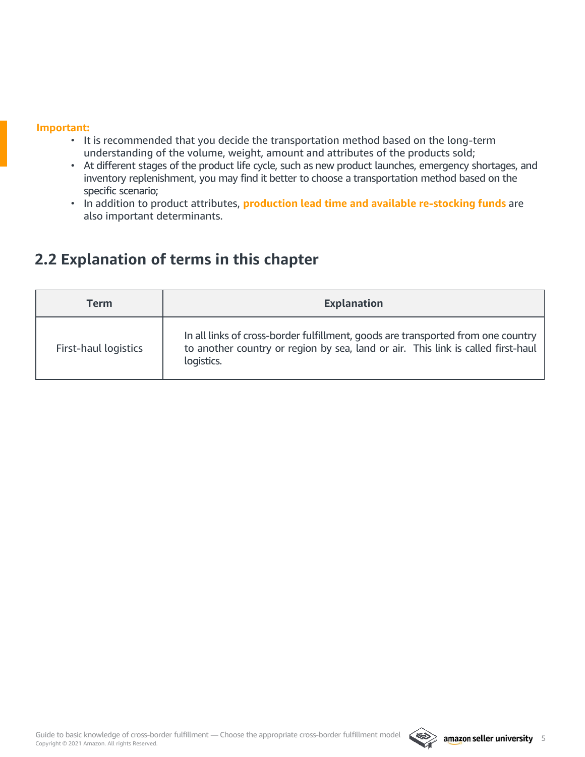#### <span id="page-4-0"></span>**Important:**

- It is recommended that you decide the transportation method based on the long-term understanding of the volume, weight, amount and attributes of the products sold;
- At different stages of the product life cycle, such as new product launches, emergency shortages, and inventory replenishment, you may find it better to choose a transportation method based on the specific scenario;
- In addition to product attributes, **production lead time and available re-stocking funds** are also important determinants.

### **2.2 Explanation of terms in this chapter**

| Term                 | <b>Explanation</b>                                                                                                                                                                 |
|----------------------|------------------------------------------------------------------------------------------------------------------------------------------------------------------------------------|
| First-haul logistics | In all links of cross-border fulfillment, goods are transported from one country<br>to another country or region by sea, land or air. This link is called first-haul<br>logistics. |

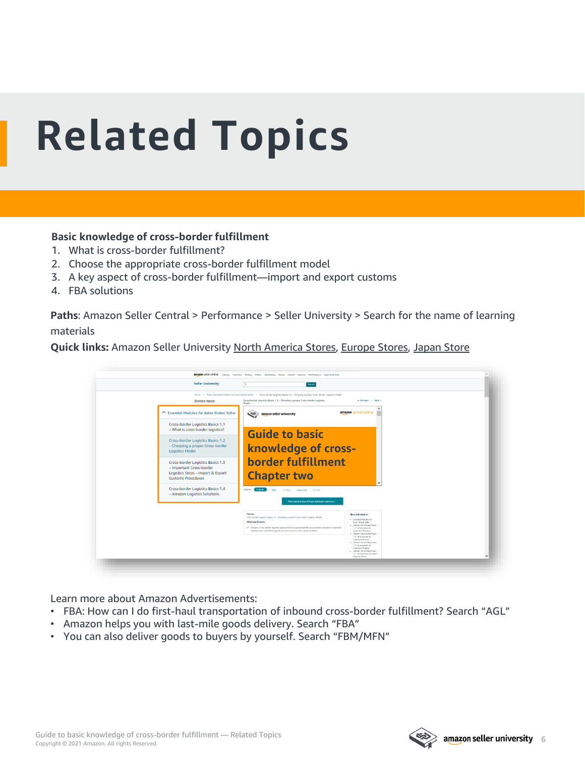# <span id="page-5-0"></span>**Related Topics**

#### **Basic knowledge of cross-border fulfillment**

- 1. What is cross-border fulfillment?
- 2. Choose the appropriate cross-border fulfillment model
- 3. A key aspect of cross-border fulfillment—import and export customs
- 4. FBA solutions

**Paths**: Amazon Seller Central > Performance > Seller University > Search for the name of learning materials

**Quick links:** Amazon Seller University [North America Stores,](https://sellercentral.amazon.com/learn/ref=xx_su_dnav_xx?ref_=xx_swlang_head_xx&mons_sel_locale=en_US&languageSwitched=1) [Europe Stores](https://sellercentral.amazon.co.uk/learn/ref=xx_su_dnav_xx?ref_=xx_swlang_head_xx&mons_sel_locale=en_GB&languageSwitched=1), [Japan Store](https://sellercentral-japan.amazon.com/learn/ref=xx_su_dnav_xx?ref_=xx_swlang_head_xx&mons_sel_locale=en_JP&languageSwitched=1)

| <b>Seller University</b>                                                                                                        | Search<br>$\alpha$                                                                                                                                                                                                                                                                                       |                                                                                                                                                                                                                                                                                                                                                                                            |
|---------------------------------------------------------------------------------------------------------------------------------|----------------------------------------------------------------------------------------------------------------------------------------------------------------------------------------------------------------------------------------------------------------------------------------------------------|--------------------------------------------------------------------------------------------------------------------------------------------------------------------------------------------------------------------------------------------------------------------------------------------------------------------------------------------------------------------------------------------|
|                                                                                                                                 | Home > Topic: Essential Modules for Asian Global Seller > Cross-border Logistics Basics 1.2 - Choosing a proper Cross-border Logistics Model                                                                                                                                                             |                                                                                                                                                                                                                                                                                                                                                                                            |
| <b>Browse topics</b>                                                                                                            | Cross-border Logistics Basics 1.2 - Choosing a proper Cross-border Logistics<br>Model                                                                                                                                                                                                                    | e Previous / Next >                                                                                                                                                                                                                                                                                                                                                                        |
| △ Essential Modules for Asian Global Seller                                                                                     | $\infty$<br>amazon seller university                                                                                                                                                                                                                                                                     | amazon global selling                                                                                                                                                                                                                                                                                                                                                                      |
| Cross-border Logistics Basics 1.1<br>- What is cross-border logistics?                                                          |                                                                                                                                                                                                                                                                                                          |                                                                                                                                                                                                                                                                                                                                                                                            |
| Cross-border Logistics Basics 1.2<br>- Choosing a proper Cross-border<br><b>Logistics Model</b>                                 | <b>Guide to basic</b><br>knowledge of cross-                                                                                                                                                                                                                                                             |                                                                                                                                                                                                                                                                                                                                                                                            |
| Cross-border Logistics Basics 1.3<br>- Important Cross-border<br>Logistics Steps - Import & Export<br><b>Customs Procedures</b> | <b>border fulfillment</b><br><b>Chapter two</b>                                                                                                                                                                                                                                                          |                                                                                                                                                                                                                                                                                                                                                                                            |
| Cross-border Logistics Basics 1.4<br>- Amazon Logistics Solutions                                                               | View in: English<br>中文<br>medine<br>Tiêng Mét 만국어<br>View important steps of import and export customs pr.                                                                                                                                                                                               |                                                                                                                                                                                                                                                                                                                                                                                            |
|                                                                                                                                 | Module<br>Cross-border Logistics Basics 1.2 - Choosing a proper Cross-border Logistics Model<br>What you'll learn:<br>Choose a cross-border logistics approach that is appropriate for your business situation to optimize<br>logistics costs and deliver goods to buyers on time and in good condition. | More Information<br>· Essertial Modules for<br>Asian Global Seller<br>· Arrazon Advertising Basics<br>1.2 - Introduction to<br>Sponsored Products<br>· Amazon Advertising Basics<br>13 - Introduction to<br>Sponsored Brands<br>· Arrazon Advertising Basics<br>1.4 - Introduction to<br>Spomored Display<br>· Amazon Advertising Basics<br>1.5 - Introduction to Brand<br>Flagship Stores |

Learn more about Amazon Advertisements:

- FBA: How can I do first-haul transportation of inbound cross-border fulfillment? Search "AGL"
- Amazon helps you with last-mile goods delivery. Search "FBA"
- You can also deliver goods to buyers by yourself. Search "FBM/MFN"